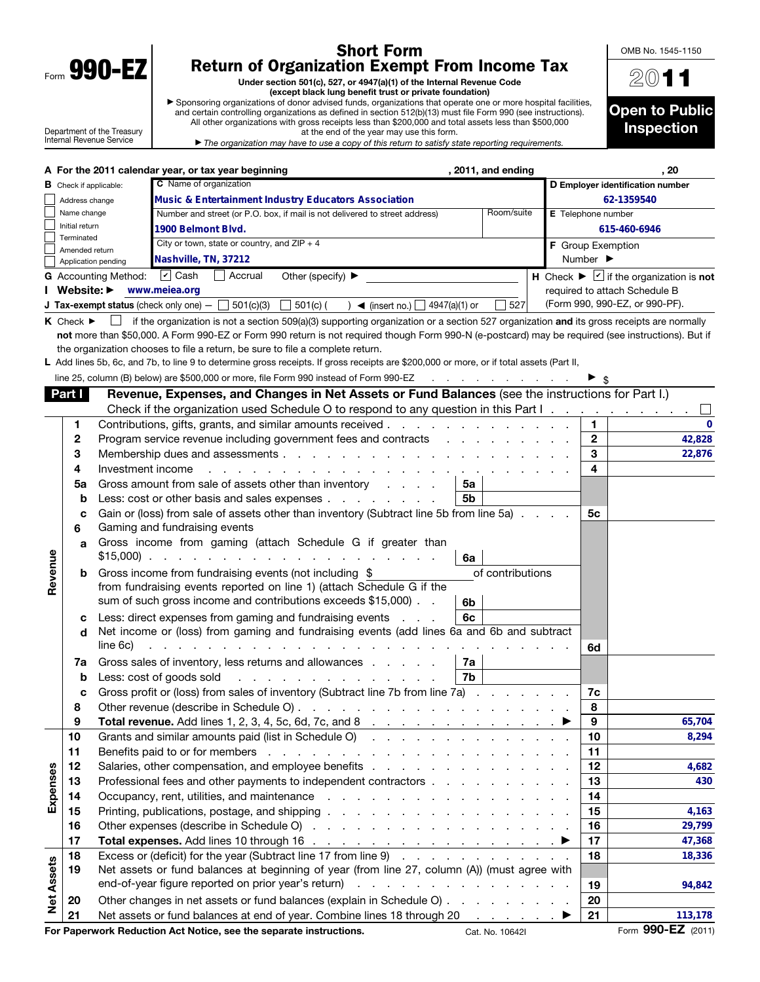| Form | 990-<br>υ |  |
|------|-----------|--|

## Short Form Return of Organization Exempt From Income Tax

Under section 501(c), 527, or 4947(a)(1) of the Internal Revenue Code (except black lung benefit trust or private foundation)

▶ Sponsoring organizations of donor advised funds, organizations that operate one or more hospital facilities, and certain controlling organizations as defined in section 512(b)(13) must file Form 990 (see instructions). All other organizations with gross receipts less than \$200,000 and total assets less than \$500,000



Department of the Treasury Internal Revenue Service

at the end of the year may use this form. ▶ *The organization may have to use a copy of this return to satisfy state reporting requirements.*

|                   |                                 |                                                                       | A For the 2011 calendar year, or tax year beginning                                                                                                | , 2011, and ending             |                    | , 20                                                             |  |  |  |  |
|-------------------|---------------------------------|-----------------------------------------------------------------------|----------------------------------------------------------------------------------------------------------------------------------------------------|--------------------------------|--------------------|------------------------------------------------------------------|--|--|--|--|
|                   | <b>B</b> Check if applicable:   |                                                                       | C Name of organization                                                                                                                             |                                |                    | D Employer identification number                                 |  |  |  |  |
|                   | Address change                  |                                                                       | <b>Music &amp; Entertainment Industry Educators Association</b>                                                                                    |                                | 62-1359540         |                                                                  |  |  |  |  |
|                   | Name change                     |                                                                       | Number and street (or P.O. box, if mail is not delivered to street address)                                                                        | Room/suite                     | E Telephone number |                                                                  |  |  |  |  |
|                   | Initial return                  |                                                                       | 1900 Belmont Blvd.                                                                                                                                 |                                |                    | 615-460-6946                                                     |  |  |  |  |
|                   | Terminated<br>Amended return    |                                                                       | City or town, state or country, and $ZIP + 4$                                                                                                      |                                | F Group Exemption  |                                                                  |  |  |  |  |
|                   | Application pending             |                                                                       | Nashville, TN, 37212                                                                                                                               |                                | Number ▶           |                                                                  |  |  |  |  |
|                   |                                 | G Accounting Method: [7] Cash                                         | Accrual<br>Other (specify) $\blacktriangleright$                                                                                                   |                                |                    | H Check $\blacktriangleright \square$ if the organization is not |  |  |  |  |
|                   | I Website: ▶                    |                                                                       | www.meiea.org                                                                                                                                      |                                |                    | required to attach Schedule B                                    |  |  |  |  |
|                   |                                 |                                                                       | <b>J Tax-exempt status</b> (check only one) $-$ 501(c)(3)<br>$\Box$ 501(c) (<br>) $\blacktriangleleft$ (insert no.) $\Box$ 4947(a)(1) or           | 527                            |                    | (Form 990, 990-EZ, or 990-PF).                                   |  |  |  |  |
|                   | $K$ Check $\blacktriangleright$ |                                                                       | if the organization is not a section 509(a)(3) supporting organization or a section 527 organization and its gross receipts are normally           |                                |                    |                                                                  |  |  |  |  |
|                   |                                 |                                                                       | not more than \$50,000. A Form 990-EZ or Form 990 return is not required though Form 990-N (e-postcard) may be required (see instructions). But if |                                |                    |                                                                  |  |  |  |  |
|                   |                                 |                                                                       | the organization chooses to file a return, be sure to file a complete return.                                                                      |                                |                    |                                                                  |  |  |  |  |
|                   |                                 |                                                                       | L Add lines 5b, 6c, and 7b, to line 9 to determine gross receipts. If gross receipts are \$200,000 or more, or if total assets (Part II,           |                                |                    |                                                                  |  |  |  |  |
|                   |                                 |                                                                       | line 25, column (B) below) are \$500,000 or more, file Form 990 instead of Form 990-EZ                                                             |                                |                    | $\blacktriangleright$ s                                          |  |  |  |  |
|                   |                                 |                                                                       |                                                                                                                                                    |                                |                    |                                                                  |  |  |  |  |
|                   | Part I                          |                                                                       | Revenue, Expenses, and Changes in Net Assets or Fund Balances (see the instructions for Part I.)                                                   |                                |                    |                                                                  |  |  |  |  |
|                   |                                 |                                                                       | Check if the organization used Schedule O to respond to any question in this Part I.                                                               |                                |                    |                                                                  |  |  |  |  |
|                   | 1                               |                                                                       | Contributions, gifts, grants, and similar amounts received                                                                                         |                                |                    | 1.<br>$\Omega$                                                   |  |  |  |  |
|                   | $\mathbf{2}$                    |                                                                       | Program service revenue including government fees and contracts                                                                                    |                                |                    | $\overline{2}$<br>42,828                                         |  |  |  |  |
|                   | 3                               |                                                                       |                                                                                                                                                    |                                |                    | 3<br>22,876                                                      |  |  |  |  |
|                   | 4                               | Investment income                                                     | and a strategic and a                                                                                                                              |                                |                    | 4                                                                |  |  |  |  |
|                   | 5a                              |                                                                       | Gross amount from sale of assets other than inventory<br>5а                                                                                        |                                |                    |                                                                  |  |  |  |  |
|                   | b                               |                                                                       | Less: cost or other basis and sales expenses<br>5b                                                                                                 |                                |                    |                                                                  |  |  |  |  |
|                   | c                               |                                                                       | Gain or (loss) from sale of assets other than inventory (Subtract line 5b from line 5a)                                                            |                                |                    | 5c                                                               |  |  |  |  |
|                   | 6                               |                                                                       | Gaming and fundraising events                                                                                                                      |                                |                    |                                                                  |  |  |  |  |
|                   | a                               |                                                                       | Gross income from gaming (attach Schedule G if greater than<br>6a                                                                                  |                                |                    |                                                                  |  |  |  |  |
| Revenue           | b                               |                                                                       | Gross income from fundraising events (not including \$                                                                                             | of contributions               |                    |                                                                  |  |  |  |  |
|                   |                                 | from fundraising events reported on line 1) (attach Schedule G if the |                                                                                                                                                    |                                |                    |                                                                  |  |  |  |  |
|                   |                                 |                                                                       | sum of such gross income and contributions exceeds \$15,000).<br>6b                                                                                |                                |                    |                                                                  |  |  |  |  |
|                   | с                               |                                                                       | 6c<br>Less: direct expenses from gaming and fundraising events                                                                                     |                                |                    |                                                                  |  |  |  |  |
|                   | d                               |                                                                       | Net income or (loss) from gaming and fundraising events (add lines 6a and 6b and subtract                                                          |                                |                    |                                                                  |  |  |  |  |
|                   |                                 | line 6c)                                                              | a construction of the contract of the construction of the construction of the contract of the construction of                                      |                                |                    | 6d                                                               |  |  |  |  |
|                   | 7a                              |                                                                       | Gross sales of inventory, less returns and allowances<br>7a                                                                                        |                                |                    |                                                                  |  |  |  |  |
|                   | b                               |                                                                       | 7b<br>Less: cost of goods sold<br>the contract of the contract of the contract of the contract of the contract of the contract of the contract of  |                                |                    |                                                                  |  |  |  |  |
|                   | c                               |                                                                       | Gross profit or (loss) from sales of inventory (Subtract line 7b from line 7a)                                                                     |                                |                    | 7c                                                               |  |  |  |  |
|                   | 8                               |                                                                       |                                                                                                                                                    |                                |                    | 8                                                                |  |  |  |  |
|                   | 9                               |                                                                       | <b>Total revenue.</b> Add lines 1, 2, 3, 4, 5c, 6d, 7c, and 8 $\ldots$ 1                                                                           |                                |                    | 9<br>65,704                                                      |  |  |  |  |
|                   | 10                              |                                                                       | Grants and similar amounts paid (list in Schedule O)                                                                                               |                                |                    | 10<br>8,294                                                      |  |  |  |  |
|                   | 11                              |                                                                       |                                                                                                                                                    |                                |                    | 11                                                               |  |  |  |  |
|                   | 12                              |                                                                       |                                                                                                                                                    |                                |                    | 12<br>4,682                                                      |  |  |  |  |
| Expenses          | 13                              |                                                                       | Professional fees and other payments to independent contractors                                                                                    |                                |                    | 13<br>430                                                        |  |  |  |  |
|                   | 14                              |                                                                       | Occupancy, rent, utilities, and maintenance                                                                                                        |                                |                    | 14                                                               |  |  |  |  |
|                   | 15                              |                                                                       |                                                                                                                                                    |                                |                    | 15<br>4,163                                                      |  |  |  |  |
| <b>Net Assets</b> | 16                              |                                                                       |                                                                                                                                                    |                                |                    | 16<br>29,799                                                     |  |  |  |  |
|                   | 17                              |                                                                       | Total expenses. Add lines 10 through 16 $\ldots$ $\ldots$ $\ldots$ $\ldots$ $\ldots$ $\ldots$ $\ldots$                                             |                                |                    | 17<br>47,368                                                     |  |  |  |  |
|                   | 18                              |                                                                       | Excess or (deficit) for the year (Subtract line 17 from line 9)                                                                                    |                                |                    | 18<br>18,336                                                     |  |  |  |  |
|                   | 19                              |                                                                       | Net assets or fund balances at beginning of year (from line 27, column (A)) (must agree with                                                       |                                |                    |                                                                  |  |  |  |  |
|                   |                                 |                                                                       | end-of-year figure reported on prior year's return)                                                                                                |                                |                    | 19                                                               |  |  |  |  |
|                   | 20                              |                                                                       |                                                                                                                                                    |                                |                    | 94,842<br>20                                                     |  |  |  |  |
|                   | 21                              |                                                                       | Other changes in net assets or fund balances (explain in Schedule O)                                                                               |                                |                    |                                                                  |  |  |  |  |
|                   |                                 |                                                                       | Net assets or fund balances at end of year. Combine lines 18 through 20                                                                            | $\ldots$ $\blacktriangleright$ |                    | 21<br>113,178<br>Form 990-EZ (2011)                              |  |  |  |  |
|                   |                                 |                                                                       | For Paperwork Reduction Act Notice, see the separate instructions.                                                                                 | Cat. No. 10642I                |                    |                                                                  |  |  |  |  |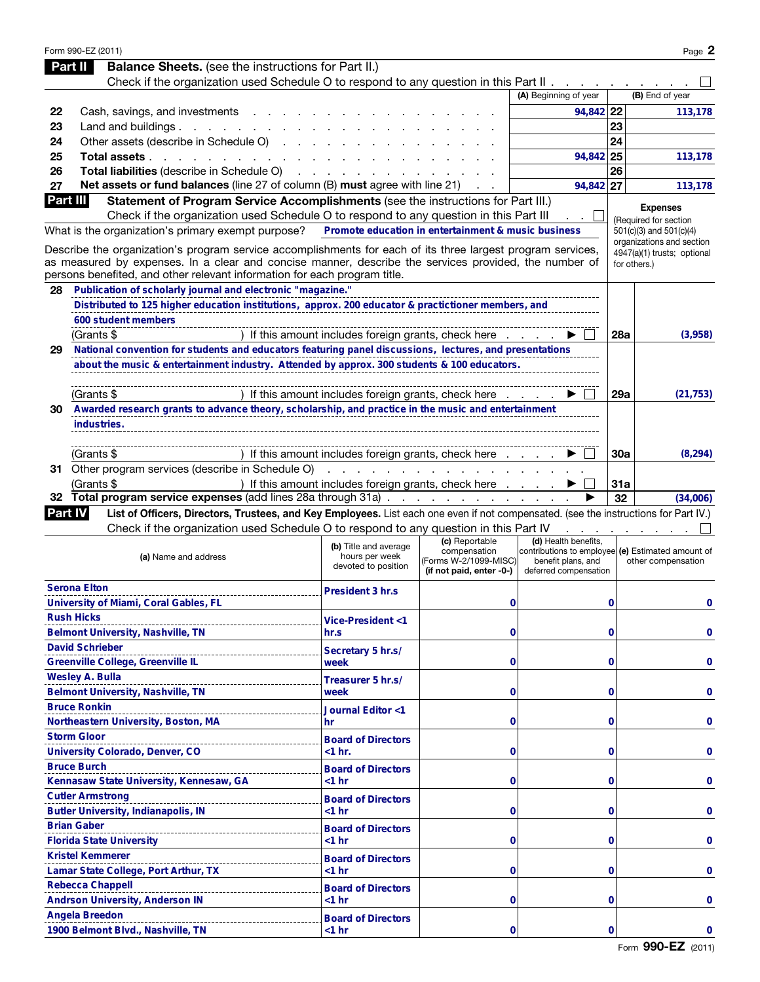|                | Form 990-EZ (2011)                                                                                                                   |                                                                                                                                                                                                                                      |                          |                                                   |             | Page 2                                   |  |
|----------------|--------------------------------------------------------------------------------------------------------------------------------------|--------------------------------------------------------------------------------------------------------------------------------------------------------------------------------------------------------------------------------------|--------------------------|---------------------------------------------------|-------------|------------------------------------------|--|
| Part II        | <b>Balance Sheets.</b> (see the instructions for Part II.)                                                                           |                                                                                                                                                                                                                                      |                          |                                                   |             |                                          |  |
|                | Check if the organization used Schedule O to respond to any question in this Part II                                                 |                                                                                                                                                                                                                                      |                          |                                                   |             |                                          |  |
|                |                                                                                                                                      |                                                                                                                                                                                                                                      |                          | (A) Beginning of year                             |             | (B) End of year                          |  |
| 22             | Cash, savings, and investments                                                                                                       |                                                                                                                                                                                                                                      |                          | 94,842 22                                         |             | 113,178                                  |  |
| 23             | Land and buildings. $\cdot \cdot \cdot \cdot \cdot \cdot \cdot \cdot$                                                                |                                                                                                                                                                                                                                      |                          |                                                   | 23          |                                          |  |
| 24             | Other assets (describe in Schedule O)                                                                                                |                                                                                                                                                                                                                                      |                          |                                                   | 24          |                                          |  |
| 25             | Total assets                                                                                                                         |                                                                                                                                                                                                                                      |                          | 94,842 25                                         |             | 113,178                                  |  |
| 26             | Total liabilities (describe in Schedule O)                                                                                           | <u>and a straightful and a straight and a straight and a straight and a straight and a straight and a straight and a straight and a straight and a straight and a straight and a straight and a straight and a straight and a st</u> |                          |                                                   | 26          |                                          |  |
| 27             | Net assets or fund balances (line 27 of column (B) must agree with line 21)                                                          |                                                                                                                                                                                                                                      |                          | 94,842 27                                         |             | 113,178                                  |  |
| Part III       | Statement of Program Service Accomplishments (see the instructions for Part III.)                                                    |                                                                                                                                                                                                                                      |                          |                                                   |             |                                          |  |
|                | Check if the organization used Schedule O to respond to any question in this Part III                                                |                                                                                                                                                                                                                                      |                          |                                                   |             | <b>Expenses</b><br>(Required for section |  |
|                | What is the organization's primary exempt purpose?                                                                                   | Promote education in entertainment & music business                                                                                                                                                                                  |                          |                                                   |             | 501(c)(3) and 501(c)(4)                  |  |
|                | Describe the organization's program service accomplishments for each of its three largest program services,                          |                                                                                                                                                                                                                                      |                          |                                                   |             | organizations and section                |  |
|                | as measured by expenses. In a clear and concise manner, describe the services provided, the number of                                |                                                                                                                                                                                                                                      |                          |                                                   |             | 4947(a)(1) trusts; optional              |  |
|                | persons benefited, and other relevant information for each program title.                                                            |                                                                                                                                                                                                                                      |                          |                                                   |             | for others.)                             |  |
| 28             | Publication of scholarly journal and electronic "magazine."                                                                          |                                                                                                                                                                                                                                      |                          |                                                   |             |                                          |  |
|                | Distributed to 125 higher education institutions, approx. 200 educator & practictioner members, and                                  |                                                                                                                                                                                                                                      |                          |                                                   |             |                                          |  |
|                | 600 student members                                                                                                                  |                                                                                                                                                                                                                                      |                          |                                                   |             |                                          |  |
|                | (Grants \$                                                                                                                           | If this amount includes foreign grants, check here                                                                                                                                                                                   |                          |                                                   | 28a         | (3,958)                                  |  |
| 29             | National convention for students and educators featuring panel discussions, lectures, and presentations                              |                                                                                                                                                                                                                                      |                          |                                                   |             |                                          |  |
|                | about the music & entertainment industry. Attended by approx. 300 students & 100 educators.                                          |                                                                                                                                                                                                                                      |                          |                                                   |             |                                          |  |
|                |                                                                                                                                      |                                                                                                                                                                                                                                      |                          |                                                   |             |                                          |  |
|                |                                                                                                                                      |                                                                                                                                                                                                                                      |                          |                                                   | 29a         |                                          |  |
| 30.            | (Grants \$<br>Awarded research grants to advance theory, scholarship, and practice in the music and entertainment                    | If this amount includes foreign grants, check here                                                                                                                                                                                   |                          |                                                   |             | (21, 753)                                |  |
|                |                                                                                                                                      |                                                                                                                                                                                                                                      |                          |                                                   |             |                                          |  |
|                | industries.                                                                                                                          |                                                                                                                                                                                                                                      |                          |                                                   |             |                                          |  |
|                |                                                                                                                                      |                                                                                                                                                                                                                                      |                          |                                                   |             |                                          |  |
|                | (Grants \$                                                                                                                           | ) If this amount includes foreign grants, check here                                                                                                                                                                                 |                          |                                                   | 30a         | (8, 294)                                 |  |
|                | 31 Other program services (describe in Schedule O)                                                                                   | $\sim$ $\sim$                                                                                                                                                                                                                        |                          |                                                   |             |                                          |  |
|                | (Grants \$                                                                                                                           | ) If this amount includes foreign grants, check here                                                                                                                                                                                 |                          |                                                   | 31a         |                                          |  |
|                | 32 Total program service expenses (add lines 28a through 31a)                                                                        |                                                                                                                                                                                                                                      |                          |                                                   | 32          | (34,006)                                 |  |
| <b>Part IV</b> | List of Officers, Directors, Trustees, and Key Employees. List each one even if not compensated. (see the instructions for Part IV.) |                                                                                                                                                                                                                                      |                          |                                                   |             |                                          |  |
|                | Check if the organization used Schedule O to respond to any question in this Part IV                                                 |                                                                                                                                                                                                                                      | (c) Reportable           | (d) Health benefits,                              |             |                                          |  |
|                |                                                                                                                                      | (b) Title and average                                                                                                                                                                                                                | compensation             | contributions to employee (e) Estimated amount of |             |                                          |  |
|                | (a) Name and address                                                                                                                 | hours per week<br>devoted to position                                                                                                                                                                                                | (Forms W-2/1099-MISC)    | benefit plans, and                                |             | other compensation                       |  |
|                |                                                                                                                                      |                                                                                                                                                                                                                                      | (if not paid, enter -0-) | deferred compensation                             |             |                                          |  |
|                | <b>Serona Elton</b>                                                                                                                  | President 3 hr.s                                                                                                                                                                                                                     |                          |                                                   |             |                                          |  |
|                | University of Miami, Coral Gables, FL                                                                                                |                                                                                                                                                                                                                                      | 0                        |                                                   | 0           | 0                                        |  |
|                | <b>Rush Hicks</b>                                                                                                                    | <b>Vice-President &lt;1</b>                                                                                                                                                                                                          |                          |                                                   |             |                                          |  |
|                | Belmont University, Nashville, TN                                                                                                    | hr.s                                                                                                                                                                                                                                 | 0                        |                                                   | $\mathbf 0$ | 0                                        |  |
|                | <b>David Schrieber</b><br>---------------------------------                                                                          | Secretary 5 hr.s/                                                                                                                                                                                                                    |                          |                                                   |             |                                          |  |
|                | Greenville College, Greenville IL                                                                                                    | week                                                                                                                                                                                                                                 | 0                        |                                                   | $\mathbf 0$ | 0                                        |  |
|                | <b>Wesley A. Bulla</b><br>-------------------------------                                                                            | Treasurer 5 hr.s/                                                                                                                                                                                                                    |                          |                                                   |             |                                          |  |
|                | Belmont University, Nashville, TN                                                                                                    | week                                                                                                                                                                                                                                 | 0                        |                                                   | $\mathbf 0$ |                                          |  |
|                | <b>Bruce Ronkin</b><br>                                                                                                              | Journal Editor <1                                                                                                                                                                                                                    |                          |                                                   |             |                                          |  |
|                | Northeastern University, Boston, MA                                                                                                  | hr                                                                                                                                                                                                                                   | 0                        |                                                   | $\mathbf 0$ | 0                                        |  |
|                | <b>Storm Gloor</b><br>--------------------------                                                                                     | <b>Board of Directors</b>                                                                                                                                                                                                            |                          |                                                   |             |                                          |  |
|                | University Colorado, Denver, CO                                                                                                      | $<$ 1 hr.                                                                                                                                                                                                                            | 0                        |                                                   | $\mathbf 0$ | 0                                        |  |
|                | <b>Bruce Burch</b>                                                                                                                   | <b>Board of Directors</b>                                                                                                                                                                                                            |                          |                                                   |             |                                          |  |
|                | Kennasaw State University, Kennesaw, GA                                                                                              | $<$ 1 hr                                                                                                                                                                                                                             | 0                        |                                                   | $\mathbf 0$ | 0                                        |  |
|                | <b>Cutler Armstrong</b><br>--------------------------                                                                                | <b>Board of Directors</b>                                                                                                                                                                                                            |                          |                                                   |             |                                          |  |
|                | <b>Butler University, Indianapolis, IN</b>                                                                                           | $<$ 1 hr                                                                                                                                                                                                                             | 0                        |                                                   | $\mathbf 0$ | 0                                        |  |
|                | <b>Brian Gaber</b>                                                                                                                   | <b>Board of Directors</b>                                                                                                                                                                                                            |                          |                                                   |             |                                          |  |
|                | <b>Florida State University</b>                                                                                                      | $<$ 1 hr                                                                                                                                                                                                                             | 0                        |                                                   | $\mathbf 0$ | 0                                        |  |
|                | <b>Kristel Kemmerer</b><br>----------------------------------                                                                        | <b>Board of Directors</b>                                                                                                                                                                                                            |                          |                                                   |             |                                          |  |
|                | Lamar State College, Port Arthur, TX                                                                                                 | $<$ 1 hr                                                                                                                                                                                                                             | 0                        |                                                   | $\mathbf 0$ | 0                                        |  |
|                | <b>Rebecca Chappell</b>                                                                                                              | <b>Board of Directors</b>                                                                                                                                                                                                            |                          |                                                   |             |                                          |  |
|                | ---------------------------<br><b>Andrson University, Anderson IN</b>                                                                | $<$ 1 hr                                                                                                                                                                                                                             | 0                        |                                                   | $\mathbf 0$ | 0                                        |  |
|                | <b>Angela Breedon</b>                                                                                                                | <b>Board of Directors</b>                                                                                                                                                                                                            |                          |                                                   |             |                                          |  |
|                | -------------------------<br>1900 Belmont Blvd., Nashville, TN                                                                       | $<$ 1 hr                                                                                                                                                                                                                             | 0                        |                                                   | 0           | 0                                        |  |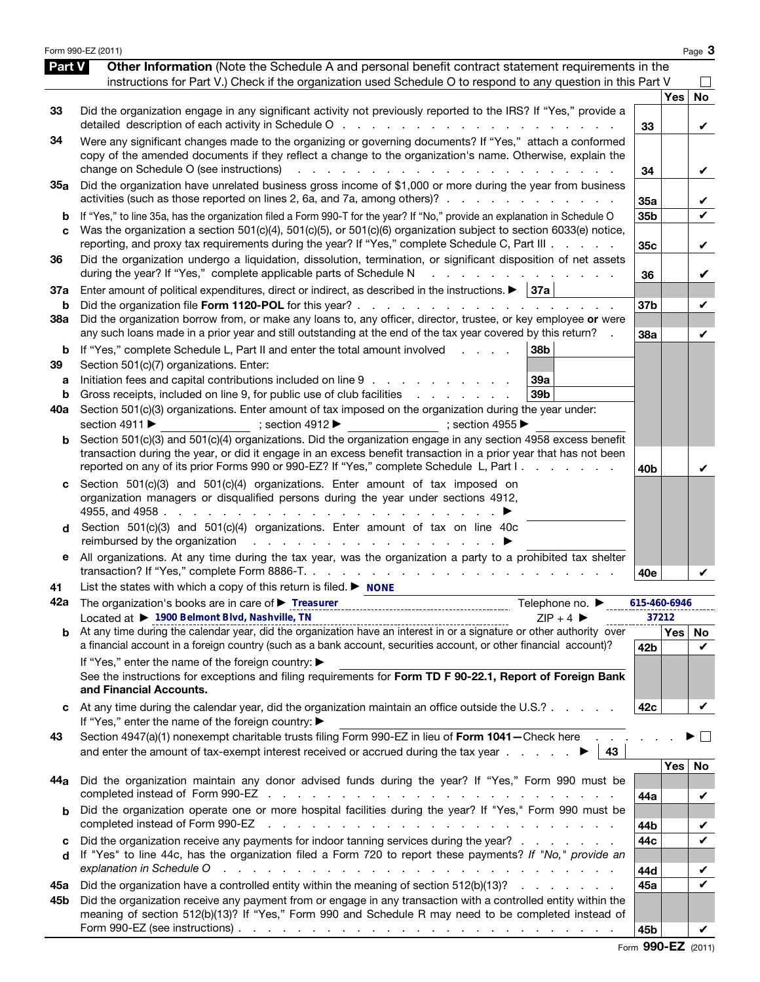|                          | Form 990-EZ (2011)                                                                                                                                                                                                                                                                                                                                                                                                                                                                                                                                                                                                                           |                        |            | Page 3                  |
|--------------------------|----------------------------------------------------------------------------------------------------------------------------------------------------------------------------------------------------------------------------------------------------------------------------------------------------------------------------------------------------------------------------------------------------------------------------------------------------------------------------------------------------------------------------------------------------------------------------------------------------------------------------------------------|------------------------|------------|-------------------------|
| <b>Part V</b>            | Other Information (Note the Schedule A and personal benefit contract statement requirements in the<br>instructions for Part V.) Check if the organization used Schedule O to respond to any question in this Part V                                                                                                                                                                                                                                                                                                                                                                                                                          |                        |            |                         |
| 33                       | Did the organization engage in any significant activity not previously reported to the IRS? If "Yes," provide a                                                                                                                                                                                                                                                                                                                                                                                                                                                                                                                              | 33                     | <b>Yes</b> | <b>No</b><br>V          |
| 34                       | Were any significant changes made to the organizing or governing documents? If "Yes," attach a conformed<br>copy of the amended documents if they reflect a change to the organization's name. Otherwise, explain the<br>change on Schedule O (see instructions)                                                                                                                                                                                                                                                                                                                                                                             | 34                     |            | V                       |
| 35a                      | Did the organization have unrelated business gross income of \$1,000 or more during the year from business<br>activities (such as those reported on lines 2, 6a, and 7a, among others)?                                                                                                                                                                                                                                                                                                                                                                                                                                                      | 35a                    |            | V                       |
| b<br>C                   | If "Yes," to line 35a, has the organization filed a Form 990-T for the year? If "No," provide an explanation in Schedule O<br>Was the organization a section 501(c)(4), 501(c)(5), or 501(c)(6) organization subject to section 6033(e) notice,<br>reporting, and proxy tax requirements during the year? If "Yes," complete Schedule C, Part III                                                                                                                                                                                                                                                                                            | 35b<br>35 <sub>c</sub> |            | $\checkmark$<br>V       |
| 36                       | Did the organization undergo a liquidation, dissolution, termination, or significant disposition of net assets<br>during the year? If "Yes," complete applicable parts of Schedule N<br>and a straight and a straight and                                                                                                                                                                                                                                                                                                                                                                                                                    | 36                     |            | V                       |
| 37a<br>b                 | Enter amount of political expenditures, direct or indirect, as described in the instructions. $\blacktriangleright$   37a                                                                                                                                                                                                                                                                                                                                                                                                                                                                                                                    | 37b                    |            | V                       |
| 38a                      | Did the organization borrow from, or make any loans to, any officer, director, trustee, or key employee or were<br>any such loans made in a prior year and still outstanding at the end of the tax year covered by this return?                                                                                                                                                                                                                                                                                                                                                                                                              | 38a                    |            | V                       |
| b<br>39<br>а<br>b<br>40a | If "Yes," complete Schedule L, Part II and enter the total amount involved<br>38 <sub>b</sub><br><b>Contract Contract</b><br>Section 501(c)(7) organizations. Enter:<br>Initiation fees and capital contributions included on line 9<br>39a<br>Gross receipts, included on line 9, for public use of club facilities exercises and contact the Gross receipts, included on line 9, for public use of club facilities<br>39 <sub>b</sub><br>Section 501(c)(3) organizations. Enter amount of tax imposed on the organization during the year under:<br>section 4911 ▶<br>; section $4912 \blacktriangleright$<br>$\Rightarrow$ ; section 4955 |                        |            |                         |
| b                        | Section 501(c)(3) and 501(c)(4) organizations. Did the organization engage in any section 4958 excess benefit<br>transaction during the year, or did it engage in an excess benefit transaction in a prior year that has not been<br>reported on any of its prior Forms 990 or 990-EZ? If "Yes," complete Schedule L, Part I.                                                                                                                                                                                                                                                                                                                | 40 <sub>b</sub>        |            | V                       |
| d                        | Section $501(c)(3)$ and $501(c)(4)$ organizations. Enter amount of tax imposed on<br>organization managers or disqualified persons during the year under sections 4912,<br>Section 501(c)(3) and 501(c)(4) organizations. Enter amount of tax on line 40c                                                                                                                                                                                                                                                                                                                                                                                    |                        |            |                         |
| е                        | All organizations. At any time during the tax year, was the organization a party to a prohibited tax shelter                                                                                                                                                                                                                                                                                                                                                                                                                                                                                                                                 | 40e                    |            |                         |
| 41<br>42a                | List the states with which a copy of this return is filed. $\blacktriangleright$ NONE<br>The organization's books are in care of Freasurer Mathematical State or Antonio Mathematical State or Mathematical State or Mathematical State or Mathematical State or Mathematical State or Mathematical State or Mathematic<br>Telephone no. ▶<br>Located at ▶ 1900 Belmont Blvd, Nashville, TN<br>$ZIP + 4$                                                                                                                                                                                                                                     | 615-460-6946<br>37212  |            |                         |
|                          | Located at $\blacktriangleright$ 1990 Bermann Bivd, Nashville, 1N.<br>b At any time during the calendar year, did the organization have an interest in or a signature or other authority over<br>a financial account in a foreign country (such as a bank account, securities account, or other financial account)?                                                                                                                                                                                                                                                                                                                          | 42 <sub>b</sub>        | Yes   No   | V                       |
|                          | If "Yes," enter the name of the foreign country: ▶<br>See the instructions for exceptions and filing requirements for Form TD F 90-22.1, Report of Foreign Bank<br>and Financial Accounts.                                                                                                                                                                                                                                                                                                                                                                                                                                                   |                        |            |                         |
|                          | At any time during the calendar year, did the organization maintain an office outside the U.S.?<br>If "Yes," enter the name of the foreign country: ▶                                                                                                                                                                                                                                                                                                                                                                                                                                                                                        | 42c                    |            | V                       |
| 43                       | Section 4947(a)(1) nonexempt charitable trusts filing Form 990-EZ in lieu of Form 1041-Check here<br>and enter the amount of tax-exempt interest received or accrued during the tax year $\blacksquare$                                                                                                                                                                                                                                                                                                                                                                                                                                      |                        |            | $\sim$                  |
| 44a                      | Did the organization maintain any donor advised funds during the year? If "Yes," Form 990 must be                                                                                                                                                                                                                                                                                                                                                                                                                                                                                                                                            | 44a                    | Yes        | No<br>V                 |
|                          | Did the organization operate one or more hospital facilities during the year? If "Yes," Form 990 must be<br>completed instead of Form 990-EZ                                                                                                                                                                                                                                                                                                                                                                                                                                                                                                 | 44b                    |            | V                       |
| c<br>d                   | Did the organization receive any payments for indoor tanning services during the year?<br>If "Yes" to line 44c, has the organization filed a Form 720 to report these payments? If "No," provide an<br>explanation in Schedule O<br>والمتعاون والمتعاون والمتعاون والمتعاون والمتعاونة والمتعاونة والمتعاونة والمتعاونة والمتعاونة                                                                                                                                                                                                                                                                                                           | 44c<br>44d             |            | V<br>V                  |
| 45а                      | Did the organization have a controlled entity within the meaning of section 512(b)(13)?                                                                                                                                                                                                                                                                                                                                                                                                                                                                                                                                                      | 45a                    |            | $\overline{\mathbf{v}}$ |
| 45b                      | Did the organization receive any payment from or engage in any transaction with a controlled entity within the<br>meaning of section 512(b)(13)? If "Yes," Form 990 and Schedule R may need to be completed instead of<br>Form 990-EZ (see instructions) $\ldots$ $\ldots$ $\ldots$ $\ldots$ $\ldots$ $\ldots$ $\ldots$ $\ldots$ $\ldots$ $\ldots$ $\ldots$                                                                                                                                                                                                                                                                                  | 45b                    |            |                         |

Form 990-EZ (2011)